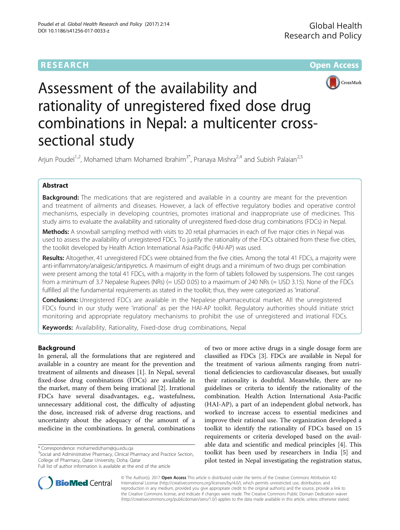# **RESEARCH CHE Open Access**



# Assessment of the availability and rationality of unregistered fixed dose drug combinations in Nepal: a multicenter crosssectional study

Arjun Poudel<sup>1,2</sup>, Mohamed Izham Mohamed Ibrahim<sup>3\*</sup>, Pranaya Mishra<sup>2,4</sup> and Subish Palaian<sup>2,5</sup>

# Abstract

**Background:** The medications that are registered and available in a country are meant for the prevention and treatment of ailments and diseases. However, a lack of effective regulatory bodies and operative control mechanisms, especially in developing countries, promotes irrational and inappropriate use of medicines. This study aims to evaluate the availability and rationality of unregistered fixed-dose drug combinations (FDCs) in Nepal.

Methods: A snowball sampling method with visits to 20 retail pharmacies in each of five major cities in Nepal was used to assess the availability of unregistered FDCs. To justify the rationality of the FDCs obtained from these five cities, the toolkit developed by Health Action International Asia-Pacific (HAI-AP) was used.

Results: Altogether, 41 unregistered FDCs were obtained from the five cities. Among the total 41 FDCs, a majority were anti-inflammatory/analgesic/antipyretics. A maximum of eight drugs and a minimum of two drugs per combination were present among the total 41 FDCs, with a majority in the form of tablets followed by suspensions. The cost ranges from a minimum of 3.7 Nepalese Rupees (NRs) (= USD 0.05) to a maximum of 240 NRs (= USD 3.15). None of the FDCs fulfilled all the fundamental requirements as stated in the toolkit; thus, they were categorized as 'irrational'.

**Conclusions:** Unregistered FDCs are available in the Nepalese pharmaceutical market. All the unregistered FDCs found in our study were 'irrational' as per the HAI-AP toolkit. Regulatory authorities should initiate strict monitoring and appropriate regulatory mechanisms to prohibit the use of unregistered and irrational FDCs.

Keywords: Availability, Rationality, Fixed-dose drug combinations, Nepal

# Background

In general, all the formulations that are registered and available in a country are meant for the prevention and treatment of ailments and diseases [\[1](#page-11-0)]. In Nepal, several fixed-dose drug combinations (FDCs) are available in the market, many of them being irrational [[2\]](#page-11-0). Irrational FDCs have several disadvantages, e.g., wastefulness, unnecessary additional cost, the difficulty of adjusting the dose, increased risk of adverse drug reactions, and uncertainty about the adequacy of the amount of a medicine in the combinations. In general, combinations

<sup>3</sup>Social and Administrative Pharmacy, Clinical Pharmacy and Practice Section, College of Pharmacy, Qatar University, Doha, Qatar

of two or more active drugs in a single dosage form are classified as FDCs [[3\]](#page-11-0). FDCs are available in Nepal for the treatment of various ailments ranging from nutritional deficiencies to cardiovascular diseases, but usually their rationality is doubtful. Meanwhile, there are no guidelines or criteria to identify the rationality of the combination. Health Action International Asia-Pacific (HAI-AP), a part of an independent global network, has worked to increase access to essential medicines and improve their rational use. The organization developed a toolkit to identify the rationality of FDCs based on 15 requirements or criteria developed based on the available data and scientific and medical principles [\[4](#page-11-0)]. This toolkit has been used by researchers in India [\[5](#page-11-0)] and pilot tested in Nepal investigating the registration status,



© The Author(s). 2017 **Open Access** This article is distributed under the terms of the Creative Commons Attribution 4.0 International License [\(http://creativecommons.org/licenses/by/4.0/](http://creativecommons.org/licenses/by/4.0/)), which permits unrestricted use, distribution, and reproduction in any medium, provided you give appropriate credit to the original author(s) and the source, provide a link to the Creative Commons license, and indicate if changes were made. The Creative Commons Public Domain Dedication waiver [\(http://creativecommons.org/publicdomain/zero/1.0/](http://creativecommons.org/publicdomain/zero/1.0/)) applies to the data made available in this article, unless otherwise stated.

<sup>\*</sup> Correspondence: [mohamedizham@qu.edu.qa](mailto:mohamedizham@qu.edu.qa)

Full list of author information is available at the end of the article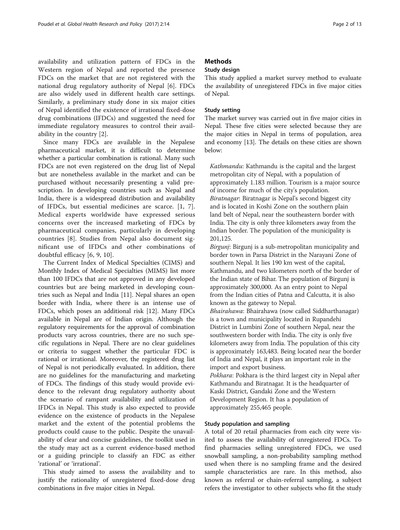availability and utilization pattern of FDCs in the Western region of Nepal and reported the presence FDCs on the market that are not registered with the national drug regulatory authority of Nepal [\[6](#page-11-0)]. FDCs are also widely used in different health care settings. Similarly, a preliminary study done in six major cities of Nepal identified the existence of irrational fixed-dose drug combinations (IFDCs) and suggested the need for immediate regulatory measures to control their availability in the country [[2\]](#page-11-0).

Since many FDCs are available in the Nepalese pharmaceutical market, it is difficult to determine whether a particular combination is rational. Many such FDCs are not even registered on the drug list of Nepal but are nonetheless available in the market and can be purchased without necessarily presenting a valid prescription. In developing countries such as Nepal and India, there is a widespread distribution and availability of IFDCs, but essential medicines are scarce. [\[1, 7](#page-11-0)]. Medical experts worldwide have expressed serious concerns over the increased marketing of FDCs by pharmaceutical companies, particularly in developing countries [[8\]](#page-11-0). Studies from Nepal also document significant use of IFDCs and other combinations of doubtful efficacy [\[6](#page-11-0), [9, 10\]](#page-11-0).

The Current Index of Medical Specialties (CIMS) and Monthly Index of Medical Specialties (MIMS) list more than 100 IFDCs that are not approved in any developed countries but are being marketed in developing countries such as Nepal and India [\[11](#page-11-0)]. Nepal shares an open border with India, where there is an intense use of FDCs, which poses an additional risk [\[12\]](#page-11-0). Many FDCs available in Nepal are of Indian origin. Although the regulatory requirements for the approval of combination products vary across countries, there are no such specific regulations in Nepal. There are no clear guidelines or criteria to suggest whether the particular FDC is rational or irrational. Moreover, the registered drug list of Nepal is not periodically evaluated. In addition, there are no guidelines for the manufacturing and marketing of FDCs. The findings of this study would provide evidence to the relevant drug regulatory authority about the scenario of rampant availability and utilization of IFDCs in Nepal. This study is also expected to provide evidence on the existence of products in the Nepalese market and the extent of the potential problems the products could cause to the public. Despite the unavailability of clear and concise guidelines, the toolkit used in the study may act as a current evidence-based method or a guiding principle to classify an FDC as either 'rational' or 'irrational'.

This study aimed to assess the availability and to justify the rationality of unregistered fixed-dose drug combinations in five major cities in Nepal.

# **Methods**

# Study design

This study applied a market survey method to evaluate the availability of unregistered FDCs in five major cities of Nepal.

#### Study setting

The market survey was carried out in five major cities in Nepal. These five cities were selected because they are the major cities in Nepal in terms of population, area and economy [[13](#page-11-0)]. The details on these cities are shown below:

Kathmandu: Kathmandu is the capital and the largest metropolitan city of Nepal, with a population of approximately 1.183 million. Tourism is a major source of income for much of the city's population. Biratnagar: Biratnagar is Nepal's second biggest city and is located in Koshi Zone on the southern plain land belt of Nepal, near the southeastern border with India. The city is only three kilometers away from the Indian border. The population of the municipality is 201,125.

Birgunj: Birgunj is a sub-metropolitan municipality and border town in Parsa District in the Narayani Zone of southern Nepal. It lies 190 km west of the capital, Kathmandu, and two kilometers north of the border of the Indian state of Bihar. The population of Birgunj is approximately 300,000. As an entry point to Nepal from the Indian cities of Patna and Calcutta, it is also known as the gateway to Nepal.

Bhairahawa: Bhairahawa (now called Siddharthanagar) is a town and municipality located in Rupandehi District in Lumbini Zone of southern Nepal, near the southwestern border with India. The city is only five kilometers away from India. The population of this city is approximately 163,483. Being located near the border of India and Nepal, it plays an important role in the import and export business.

Pokhara: Pokhara is the third largest city in Nepal after Kathmandu and Biratnagar. It is the headquarter of Kaski District, Gandaki Zone and the Western Development Region. It has a population of approximately 255,465 people.

#### Study population and sampling

A total of 20 retail pharmacies from each city were visited to assess the availability of unregistered FDCs. To find pharmacies selling unregistered FDCs, we used snowball sampling, a non-probability sampling method used when there is no sampling frame and the desired sample characteristics are rare. In this method, also known as referral or chain-referral sampling, a subject refers the investigator to other subjects who fit the study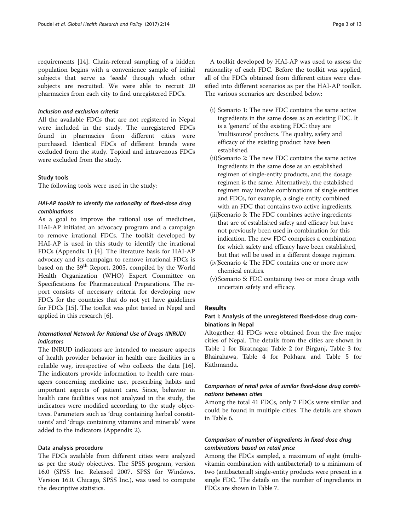requirements [[14](#page-11-0)]. Chain-referral sampling of a hidden population begins with a convenience sample of initial subjects that serve as 'seeds' through which other subjects are recruited. We were able to recruit 20 pharmacies from each city to find unregistered FDCs.

# Inclusion and exclusion criteria

All the available FDCs that are not registered in Nepal were included in the study. The unregistered FDCs found in pharmacies from different cities were purchased. Identical FDCs of different brands were excluded from the study. Topical and intravenous FDCs were excluded from the study.

#### Study tools

The following tools were used in the study:

# HAI-AP toolkit to identify the rationality of fixed-dose drug combinations

As a goal to improve the rational use of medicines, HAI-AP initiated an advocacy program and a campaign to remove irrational FDCs. The toolkit developed by HAI-AP is used in this study to identify the irrational FDCs [\(Appendix 1](#page-10-0)) [\[4](#page-11-0)]. The literature basis for HAI-AP advocacy and its campaign to remove irrational FDCs is based on the 39<sup>th</sup> Report, 2005, compiled by the World Health Organization (WHO) Expert Committee on Specifications for Pharmaceutical Preparations. The report consists of necessary criteria for developing new FDCs for the countries that do not yet have guidelines for FDCs [\[15\]](#page-11-0). The toolkit was pilot tested in Nepal and applied in this research [\[6\]](#page-11-0).

# International Network for Rational Use of Drugs (INRUD) indicators

The INRUD indicators are intended to measure aspects of health provider behavior in health care facilities in a reliable way, irrespective of who collects the data [\[16](#page-11-0)]. The indicators provide information to health care managers concerning medicine use, prescribing habits and important aspects of patient care. Since, behavior in health care facilities was not analyzed in the study, the indicators were modified according to the study objectives. Parameters such as 'drug containing herbal constituents' and 'drugs containing vitamins and minerals' were added to the indicators [\(Appendix 2](#page-11-0)).

#### Data analysis procedure

The FDCs available from different cities were analyzed as per the study objectives. The SPSS program, version 16.0 (SPSS Inc. Released 2007. SPSS for Windows, Version 16.0. Chicago, SPSS Inc.), was used to compute the descriptive statistics.

A toolkit developed by HAI-AP was used to assess the rationality of each FDC. Before the toolkit was applied, all of the FDCs obtained from different cities were classified into different scenarios as per the HAI-AP toolkit. The various scenarios are described below:

- (i) Scenario 1: The new FDC contains the same active ingredients in the same doses as an existing FDC. It is a 'generic' of the existing FDC: they are 'multisource' products. The quality, safety and efficacy of the existing product have been established.
- (ii)Scenario 2: The new FDC contains the same active ingredients in the same dose as an established regimen of single-entity products, and the dosage regimen is the same. Alternatively, the established regimen may involve combinations of single entities and FDCs, for example, a single entity combined with an FDC that contains two active ingredients.
- (iii)Scenario 3: The FDC combines active ingredients that are of established safety and efficacy but have not previously been used in combination for this indication. The new FDC comprises a combination for which safety and efficacy have been established, but that will be used in a different dosage regimen.
- (iv)Scenario 4: The FDC contains one or more new chemical entities.
- (v)Scenario 5: FDC containing two or more drugs with uncertain safety and efficacy.

# Results

# Part I: Analysis of the unregistered fixed-dose drug combinations in Nepal

Altogether, 41 FDCs were obtained from the five major cities of Nepal. The details from the cities are shown in Table [1](#page-3-0) for Biratnagar, Table [2](#page-3-0) for Birgunj, Table [3](#page-4-0) for Bhairahawa, Table [4](#page-4-0) for Pokhara and Table [5](#page-5-0) for Kathmandu.

# Comparison of retail price of similar fixed-dose drug combinations between cities

Among the total 41 FDCs, only 7 FDCs were similar and could be found in multiple cities. The details are shown in Table [6.](#page-5-0)

# Comparison of number of ingredients in fixed-dose drug combinations based on retail price

Among the FDCs sampled, a maximum of eight (multivitamin combination with antibacterial) to a minimum of two (antibacterial) single-entity products were present in a single FDC. The details on the number of ingredients in FDCs are shown in Table [7](#page-6-0).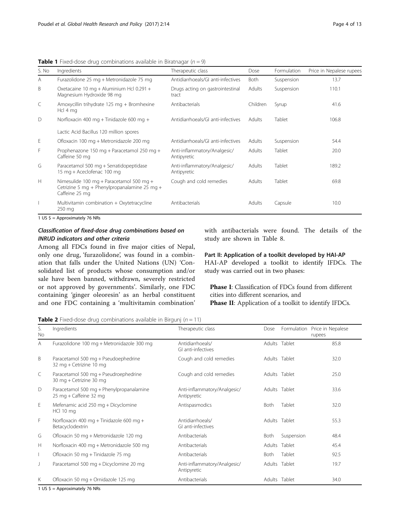<span id="page-3-0"></span>**Table 1** Fixed-dose drug combinations available in Biratnagar  $(n = 9)$ 

| S. No | Ingredients                                                                                                | Therapeutic class                           | Dose     | Formulation | Price in Nepalese rupees |
|-------|------------------------------------------------------------------------------------------------------------|---------------------------------------------|----------|-------------|--------------------------|
| A     | Furazolidone 25 mg + Metronidazole 75 mg                                                                   | Antidiarrhoeals/Gl anti-infectives          | Both     | Suspension  | 13.7                     |
| B     | Oxetacaine 10 mg + Aluminium Hcl 0.291 +<br>Magnesium Hydroxide 98 mg                                      | Drugs acting on gastrointestinal<br>tract   | Adults   | Suspension  | 110.1                    |
| C     | Amoxycillin trihydrate 125 mg + Bromhexine<br>Hcl 4 mg                                                     | Antibacterials                              | Children | Syrup       | 41.6                     |
| D     | Norfloxacin 400 mg + Tinidazole 600 mg +                                                                   | Antidiarrhoeals/Gl anti-infectives          | Adults   | Tablet      | 106.8                    |
|       | Lactic Acid Bacillus 120 million spores                                                                    |                                             |          |             |                          |
| Ε     | Ofloxacin 100 mg + Metronidazole 200 mg                                                                    | Antidiarrhoeals/Gl anti-infectives          | Adults   | Suspension  | 54.4                     |
| F     | Prophenazone 150 mg + Paracetamol 250 mg +<br>Caffeine 50 mg                                               | Anti-inflammatory/Analgesic/<br>Antipyretic | Adults   | Tablet      | 20.0                     |
| G     | Paracetamol 500 mg + Serratidopeptidase<br>15 mg + Aceclofenac 100 mg                                      | Anti-inflammatory/Analgesic/<br>Antipyretic | Adults   | Tablet      | 189.2                    |
| H     | Nimesulide 100 mg + Paracetamol 500 mg +<br>Cetrizine 5 mg + Phenylpropanalamine 25 mg +<br>Caffeine 25 mg | Cough and cold remedies                     | Adults   | Tablet      | 69.8                     |
|       | Multivitamin combination + Oxytetracycline<br>$250 \text{ mg}$                                             | Antibacterials                              | Adults   | Capsule     | 10.0                     |

1 US  $$ =$  Approximately 76 NRs

# Classification of fixed-dose drug combinations based on INRUD indicators and other criteria

Among all FDCs found in five major cities of Nepal, only one drug, 'furazolidone', was found in a combination that falls under the United Nations (UN) 'Consolidated list of products whose consumption and/or sale have been banned, withdrawn, severely restricted or not approved by governments'. Similarly, one FDC containing 'ginger oleoresin' as an herbal constituent and one FDC containing a 'multivitamin combination' with antibacterials were found. The details of the study are shown in Table [8](#page-6-0).

# Part II: Application of a toolkit developed by HAI-AP

HAI-AP developed a toolkit to identify IFDCs. The study was carried out in two phases:

Phase I: Classification of FDCs found from different cities into different scenarios, and Phase II: Application of a toolkit to identify IFDCs.

**Table 2** Fixed-dose drug combinations available in Birgunj ( $n = 11$ )

| S.<br><b>No</b> | Ingredients                                                        | Therapeutic class                           | Dose        |               | Formulation Price in Nepalese<br>rupees |
|-----------------|--------------------------------------------------------------------|---------------------------------------------|-------------|---------------|-----------------------------------------|
| Α               | Furazolidone 100 mg + Metronidazole 300 mg                         | Antidiarrhoeals/<br>GI anti-infectives      |             | Adults Tablet | 85.8                                    |
| B               | Paracetamol 500 mg + Pseudoephedrine<br>32 mg + Cetrizine 10 mg    | Cough and cold remedies                     |             | Adults Tablet | 32.0                                    |
| C               | Paracetamol 500 mg + Pseudroephedrine<br>30 mg + Cetrizine 30 mg   | Cough and cold remedies                     |             | Adults Tablet | 25.0                                    |
| D               | Paracetamol 500 mg + Phenylpropanalamine<br>25 mg + Caffeine 32 mg | Anti-inflammatory/Analgesic/<br>Antipyretic |             | Adults Tablet | 33.6                                    |
| Ε               | Mefenamic acid 250 mg + Dicyclomine<br>HCl 10 mg                   | Antispasmodics                              | <b>Both</b> | Tablet        | 32.0                                    |
| F               | Norfloxacin 400 mg + Tinidazole 600 mg +<br>Betacyclodextrin       | Antidiarrhoeals/<br>GI anti-infectives      |             | Adults Tablet | 55.3                                    |
| G               | Ofloxacin 50 mg + Metronidazole 120 mg                             | Antibacterials                              | Both        | Suspension    | 48.4                                    |
| H               | Norfloxacin 400 mg + Metronidazole 500 mg                          | Antibacterials                              |             | Adults Tablet | 45.4                                    |
|                 | Ofloxacin 50 mg + Tinidazole 75 mg                                 | Antibacterials                              | <b>Both</b> | Tablet        | 92.5                                    |
| J               | Paracetamol 500 mg + Dicyclomine 20 mg                             | Anti-inflammatory/Analgesic/<br>Antipyretic |             | Adults Tablet | 19.7                                    |
| K               | Ofloxacin 50 mg + Ornidazole 125 mg                                | Antibacterials                              |             | Adults Tablet | 34.0                                    |

1 US \$ = Approximately 76 NRs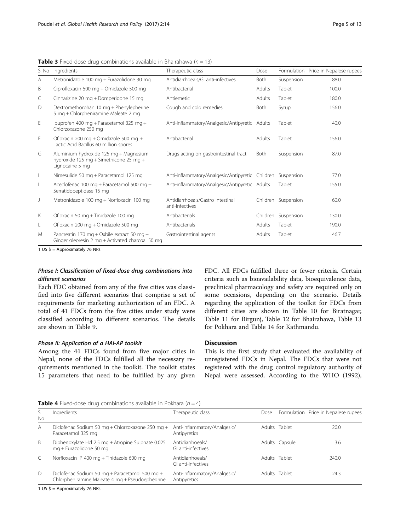|   | S. No Ingredients                                                                                   | Therapeutic class                                           | Dose        |                     | Formulation Price in Nepalese rupees |
|---|-----------------------------------------------------------------------------------------------------|-------------------------------------------------------------|-------------|---------------------|--------------------------------------|
| A | Metronidazole 100 mg + Furazolidone 30 mg                                                           | Antidiarrhoeals/Gl anti-infectives                          | Both        | Suspension          | 88.0                                 |
| B | Ciprofloxacin 500 mg + Ornidazole 500 mg                                                            | Antibacterial                                               | Adults      | Tablet              | 100.0                                |
| C | Cinnarizine 20 mg + Domperidone 15 mg                                                               | Antiemetic                                                  | Adults      | Tablet              | 180.0                                |
| D | Dextromethorphan 10 mg + Phenylepherine<br>5 mg + Chlorpheniramine Maleate 2 mg                     | Cough and cold remedies                                     | <b>Both</b> | Syrup               | 156.0                                |
| E | Ibuprofen 400 mg + Paracetamol 325 mg +<br>Chlorzoxazone 250 mg                                     | Anti-inflammatory/Analgesic/Antipyretic Adults              |             | Tablet              | 40.0                                 |
| F | Ofloxacin 200 mg + Ornidazole 500 mg +<br>Lactic Acid Bacillus 60 million spores                    | Antibacterial                                               | Adults      | Tablet              | 156.0                                |
| G | Aluminium hydroxide 125 mg + Magnesium<br>hydroxide 125 mg + Simethicone 25 mg +<br>Lignocaine 5 mg | Drugs acting on gastrointestinal tract                      | <b>Both</b> | Suspension          | 87.0                                 |
| H | Nimesulide 50 mg + Paracetamol 125 mg                                                               | Anti-inflammatory/Analgesic/Antipyretic Children Suspension |             |                     | 77.0                                 |
|   | Aceclofenac 100 mg + Paracetamol 500 mg +<br>Serratidopeptidase 15 mg                               | Anti-inflammatory/Analgesic/Antipyretic Adults              |             | Tablet              | 155.0                                |
| J | Metronidazole 100 mg + Norfloxacin 100 mg                                                           | Antidiarrhoeals/Gastro Intestinal<br>anti-infectives        |             | Children Suspension | 60.0                                 |
| K | Ofloxacin 50 mg + Tinidazole 100 mg                                                                 | Antibacterials                                              |             | Children Suspension | 130.0                                |
| L | Ofloxacin 200 mg + Ornidazole 500 mg                                                                | Antibacterials                                              | Adults      | Tablet              | 190.0                                |
| M | Pancreatin 170 mg + Oxbile extract 50 mg +<br>Ginger oleoresin 2 mg + Activated charcoal 50 mg      | Gastrointestinal agents                                     | Adults      | Tablet              | 46.7                                 |

<span id="page-4-0"></span>**Table 3** Fixed-dose drug combinations available in Bhairahawa ( $n = 13$ )

1 US  $$ =$  Approximately 76 NRs

# Phase I: Classification of fixed-dose drug combinations into different scenarios

Each FDC obtained from any of the five cities was classified into five different scenarios that comprise a set of requirements for marketing authorization of an FDC. A total of 41 FDCs from the five cities under study were classified according to different scenarios. The details are shown in Table [9](#page-7-0).

# Phase II: Application of a HAI-AP toolkit

Among the 41 FDCs found from five major cities in Nepal, none of the FDCs fulfilled all the necessary requirements mentioned in the toolkit. The toolkit states 15 parameters that need to be fulfilled by any given FDC. All FDCs fulfilled three or fewer criteria. Certain criteria such as bioavailability data, bioequivalence data, preclinical pharmacology and safety are required only on some occasions, depending on the scenario. Details regarding the application of the toolkit for FDCs from different cities are shown in Table [10](#page-8-0) for Biratnagar, Table [11](#page-8-0) for Birgunj, Table [12](#page-9-0) for Bhairahawa, Table [13](#page-9-0) for Pokhara and Table [14](#page-10-0) for Kathmandu.

# **Discussion**

This is the first study that evaluated the availability of unregistered FDCs in Nepal. The FDCs that were not registered with the drug control regulatory authority of Nepal were assessed. According to the WHO (1992),

**Table 4** Fixed-dose drug combinations available in Pokhara ( $n = 4$ )

| S.<br><b>No</b> | Ingredients                                                                                       | Therapeutic class                            | Dose |                | Formulation Price in Nepalese rupees |
|-----------------|---------------------------------------------------------------------------------------------------|----------------------------------------------|------|----------------|--------------------------------------|
| A               | Diclofenac Sodium 50 mg + Chlorzoxazone 250 mg +<br>Paracetamol 325 mg                            | Anti-inflammatory/Analgesic/<br>Antipyretics |      | Adults Tablet  | 20.0                                 |
| B               | Diphenoxylate Hcl 2.5 mg + Atropine Sulphate 0.025<br>mg + Furazolidone 50 mg                     | Antidiarrhoeals/<br>GI anti-infectives       |      | Adults Capsule | 3.6                                  |
| C               | Norfloxacin IP 400 mg + Tinidazole 600 mg                                                         | Antidiarrhoeals/<br>GL anti-infectives       |      | Adults Tablet  | 240.0                                |
| D               | Diclofenac Sodium 50 mg + Paracetamol 500 mg +<br>Chlorpheniramine Maleate 4 mg + Pseudoephedrine | Anti-inflammatory/Analgesic/<br>Antipyretics |      | Adults Tablet  | 24.3                                 |
|                 |                                                                                                   |                                              |      |                |                                      |

1 US \$ = Approximately 76 NRs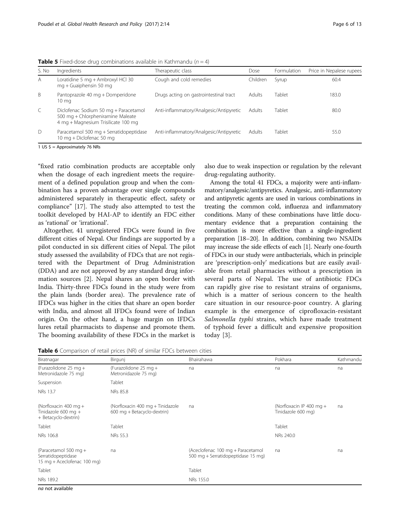<span id="page-5-0"></span>**Table 5** Fixed-dose drug combinations available in Kathmandu ( $n = 4$ )

| S. No | Ingredients                                                                                                       | Therapeutic class                       | Dose     | Formulation | Price in Nepalese rupees |
|-------|-------------------------------------------------------------------------------------------------------------------|-----------------------------------------|----------|-------------|--------------------------|
| A     | Loratidine 5 mg + Ambroxyl HCl 30<br>mg + Guaiphensin 50 mg                                                       | Cough and cold remedies                 | Children | Syrup       | 60.4                     |
| B     | Pantoprazole 40 mg + Domperidone<br>$10 \text{ mg}$                                                               | Drugs acting on gastrointestinal tract  | Adults   | Tablet      | 183.0                    |
| C     | Diclofenac Sodium 50 mg + Paracetamol<br>500 mg + Chlorpheniramine Maleate<br>4 mg + Magnesium Trisilicate 100 mg | Anti-inflammatory/Analgesic/Antipyretic | Adults   | Tablet      | 80.0                     |
| D     | Paracetamol 500 mg + Serratidopeptidase<br>10 mg + Diclofenac 50 mg                                               | Anti-inflammatory/Analgesic/Antipyretic | Adults   | Tablet      | 55.0                     |

1 US  $\zeta$  = Approximately 76 NRs

"fixed ratio combination products are acceptable only when the dosage of each ingredient meets the requirement of a defined population group and when the combination has a proven advantage over single compounds administered separately in therapeutic effect, safety or compliance" [\[17](#page-11-0)]. The study also attempted to test the toolkit developed by HAI-AP to identify an FDC either as 'rational' or 'irrational'.

Altogether, 41 unregistered FDCs were found in five different cities of Nepal. Our findings are supported by a pilot conducted in six different cities of Nepal. The pilot study assessed the availability of FDCs that are not registered with the Department of Drug Administration (DDA) and are not approved by any standard drug information sources [\[2](#page-11-0)]. Nepal shares an open border with India. Thirty-three FDCs found in the study were from the plain lands (border area). The prevalence rate of IFDCs was higher in the cities that share an open border with India, and almost all IFDCs found were of Indian origin. On the other hand, a huge margin on IFDCs lures retail pharmacists to dispense and promote them. The booming availability of these FDCs in the market is also due to weak inspection or regulation by the relevant drug-regulating authority.

Among the total 41 FDCs, a majority were anti-inflammatory/analgesic/antipyretics. Analgesic, anti-inflammatory and antipyretic agents are used in various combinations in treating the common cold, influenza and inflammatory conditions. Many of these combinations have little documentary evidence that a preparation containing the combination is more effective than a single-ingredient preparation [\[18](#page-11-0)–[20\]](#page-11-0). In addition, combining two NSAIDs may increase the side effects of each [[1](#page-11-0)]. Nearly one-fourth of FDCs in our study were antibacterials, which in principle are 'prescription-only' medications but are easily available from retail pharmacies without a prescription in several parts of Nepal. The use of antibiotic FDCs can rapidly give rise to resistant strains of organisms, which is a matter of serious concern to the health care situation in our resource-poor country. A glaring example is the emergence of ciprofloxacin-resistant Salmonella typhi strains, which have made treatment of typhoid fever a difficult and expensive proposition today [[3\]](#page-11-0).

Table 6 Comparison of retail prices (NR) of similar FDCs between cities

| Biratnagar                                                                 | Birgunj                                                         | Bhairahawa                                                              | Pokhara                                        | Kathmandu |
|----------------------------------------------------------------------------|-----------------------------------------------------------------|-------------------------------------------------------------------------|------------------------------------------------|-----------|
| (Furazolidone 25 mg +<br>Metronidazole 75 mg)                              | (Furazolidone 25 mg +<br>Metronidazole 75 mg)                   | na                                                                      | na                                             | na        |
| Suspension                                                                 | Tablet                                                          |                                                                         |                                                |           |
| NRs 13.7                                                                   | NRs 85.8                                                        |                                                                         |                                                |           |
| (Norfloxacin 400 mg +<br>Tinidazole 600 mg +<br>+ Betacyclo-dextrin)       | (Norfloxacin 400 mg + Tinidazole<br>600 mg + Betacyclo-dextrin) | na                                                                      | (Norfloxacin IP 400 mg +<br>Tinidazole 600 mg) | na        |
| Tablet                                                                     | Tablet                                                          |                                                                         | Tablet                                         |           |
| NRs 106.8                                                                  | NRs 55.3                                                        |                                                                         | NRs 240.0                                      |           |
| (Paracetamol 500 mg +<br>Serratidopeptidase<br>15 mg + Aceclofenac 100 mg) | na                                                              | (Aceclofenac 100 mg + Paracetamol<br>500 mg + Serratidopeptidase 15 mg) | na                                             | na        |
| Tablet                                                                     |                                                                 | Tablet                                                                  |                                                |           |
| NRs 189.2                                                                  |                                                                 | NRs 155.0                                                               |                                                |           |
|                                                                            |                                                                 |                                                                         |                                                |           |

na not available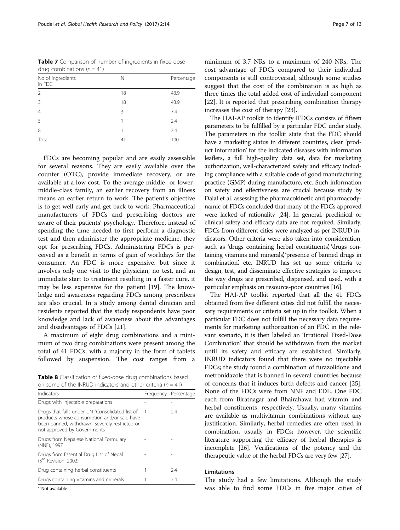<span id="page-6-0"></span>Table 7 Comparison of number of ingredients in fixed-dose drug combinations  $(n = 41)$ 

| No of ingredients<br>in FDC | N  | Percentage |
|-----------------------------|----|------------|
| $\mathcal{P}$               | 18 | 43.9       |
| 3                           | 18 | 43.9       |
| $\overline{4}$              | 3  | 7.4        |
| 5                           |    | 2.4        |
| 8                           |    | 2.4        |
| Total                       | 41 | 100        |

FDCs are becoming popular and are easily assessable for several reasons. They are easily available over the counter (OTC), provide immediate recovery, or are available at a low cost. To the average middle- or lowermiddle-class family, an earlier recovery from an illness means an earlier return to work. The patient's objective is to get well early and get back to work. Pharmaceutical manufacturers of FDCs and prescribing doctors are aware of their patients' psychology. Therefore, instead of spending the time needed to first perform a diagnostic test and then administer the appropriate medicine, they opt for prescribing FDCs. Administering FDCs is perceived as a benefit in terms of gain of workdays for the consumer. An FDC is more expensive, but since it involves only one visit to the physician, no test, and an immediate start to treatment resulting in a faster cure, it may be less expensive for the patient [\[19](#page-11-0)]. The knowledge and awareness regarding FDCs among prescribers are also crucial. In a study among dental clinician and residents reported that the study respondents have poor knowledge and lack of awareness about the advantages and disadvantages of FDCs [\[21](#page-11-0)].

A maximum of eight drug combinations and a minimum of two drug combinations were present among the total of 41 FDCs, with a majority in the form of tablets followed by suspension. The cost ranges from a

Table 8 Classification of fixed-dose drug combinations based on some of the INRUD indicators and other criteria  $(n = 41)$ 

| יו ישטחה שהמושב המושפענטו שהשיטמופו כחנכווט (זו                                                                                                                                 |  |                      |  |  |  |  |  |  |  |
|---------------------------------------------------------------------------------------------------------------------------------------------------------------------------------|--|----------------------|--|--|--|--|--|--|--|
| Indicators                                                                                                                                                                      |  | Frequency Percentage |  |  |  |  |  |  |  |
| Drugs with injectable preparations                                                                                                                                              |  |                      |  |  |  |  |  |  |  |
| Drugs that falls under UN "Consolidated list of<br>products whose consumption and/or sale have<br>been banned, withdrawn, severely restricted or<br>not approved by Governments |  | 2.4                  |  |  |  |  |  |  |  |
| Drugs from Nepalese National Formulary<br>(NNF), 1997                                                                                                                           |  |                      |  |  |  |  |  |  |  |
| Drugs from Essential Drug List of Nepal<br>(3 <sup>rd</sup> Revision, 2002)                                                                                                     |  |                      |  |  |  |  |  |  |  |
| Drug containing herbal constituents                                                                                                                                             |  | 2.4                  |  |  |  |  |  |  |  |
| Drugs containing vitamins and minerals                                                                                                                                          |  | 2.4                  |  |  |  |  |  |  |  |
|                                                                                                                                                                                 |  |                      |  |  |  |  |  |  |  |

'-'Not available

minimum of 3.7 NRs to a maximum of 240 NRs. The cost advantage of FDCs compared to their individual components is still controversial, although some studies suggest that the cost of the combination is as high as three times the total added cost of individual component [[22\]](#page-11-0). It is reported that prescribing combination therapy increases the cost of therapy [[23](#page-11-0)].

The HAI-AP toolkit to identify IFDCs consists of fifteen parameters to be fulfilled by a particular FDC under study. The parameters in the toolkit state that the FDC should have a marketing status in different countries, clear 'product information' for the indicated diseases with information leaflets, a full high-quality data set, data for marketing authorization, well-characterized safety and efficacy including compliance with a suitable code of good manufacturing practice (GMP) during manufacture, etc. Such information on safety and effectiveness are crucial because study by Dalal et al. assessing the pharmacokinetic and pharmacodynamic of FDCs concluded that many of the FDCs approved were lacked of rationality [\[24\]](#page-11-0). In general, preclinical or clinical safety and efficacy data are not required. Similarly, FDCs from different cities were analyzed as per INRUD indicators. Other criteria were also taken into consideration, such as 'drugs containing herbal constituents', 'drugs containing vitamins and minerals, 'presence of banned drugs in combination, etc. INRUD has set up some criteria to ' design, test, and disseminate effective strategies to improve the way drugs are prescribed, dispensed, and used, with a particular emphasis on resource-poor countries [\[16](#page-11-0)].

The HAI-AP toolkit reported that all the 41 FDCs obtained from five different cities did not fulfill the necessary requirements or criteria set up in the toolkit. When a particular FDC does not fulfill the necessary data requirements for marketing authorization of an FDC in the relevant scenario, it is then labeled an 'Irrational Fixed-Dose Combination' that should be withdrawn from the market until its safety and efficacy are established. Similarly, INRUD indicators found that there were no injectable FDCs; the study found a combination of furazolidone and metronidazole that is banned in several countries because of concerns that it induces birth defects and cancer [[25](#page-11-0)]. None of the FDCs were from NNF and EDL. One FDC each from Biratnagar and Bhairahawa had vitamin and herbal constituents, respectively. Usually, many vitamins are available as multivitamin combinations without any justification. Similarly, herbal remedies are often used in combination, usually in FDCs; however, the scientific literature supporting the efficacy of herbal therapies is incomplete [\[26\]](#page-12-0). Verifications of the potency and the therapeutic value of the herbal FDCs are very few [\[27\]](#page-12-0).

#### Limitations

The study had a few limitations. Although the study was able to find some FDCs in five major cities of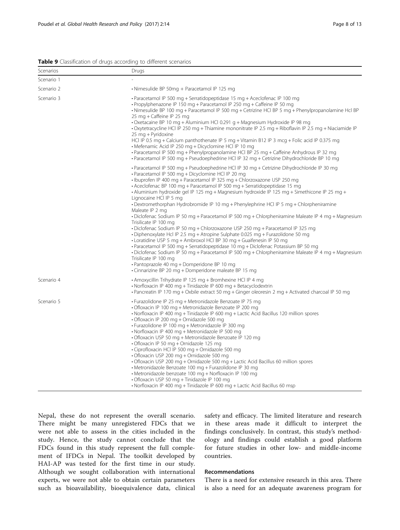<span id="page-7-0"></span>Table 9 Classification of drugs according to different scenarios

| Scenarios  | Drugs                                                                                                                                                                                                                                                                                                                                                                                                                                                                                                                                                                                                                                                                                                                                                                                                                                                                                                                                                                                                                                                                                                                                                                                                                                                           |
|------------|-----------------------------------------------------------------------------------------------------------------------------------------------------------------------------------------------------------------------------------------------------------------------------------------------------------------------------------------------------------------------------------------------------------------------------------------------------------------------------------------------------------------------------------------------------------------------------------------------------------------------------------------------------------------------------------------------------------------------------------------------------------------------------------------------------------------------------------------------------------------------------------------------------------------------------------------------------------------------------------------------------------------------------------------------------------------------------------------------------------------------------------------------------------------------------------------------------------------------------------------------------------------|
| Scenario 1 |                                                                                                                                                                                                                                                                                                                                                                                                                                                                                                                                                                                                                                                                                                                                                                                                                                                                                                                                                                                                                                                                                                                                                                                                                                                                 |
| Scenario 2 | • Nimesulide BP 50mg + Paracetamol IP 125 mg                                                                                                                                                                                                                                                                                                                                                                                                                                                                                                                                                                                                                                                                                                                                                                                                                                                                                                                                                                                                                                                                                                                                                                                                                    |
| Scenario 3 | • Paracetamol IP 500 mg + Serratidopeptidase 15 mg + Aceclofenac IP 100 mg<br>• Propylphenazone IP 150 mg + Paracetamol IP 250 mg + Caffeine IP 50 mg<br>• Nimesulide BP 100 mg + Paracetamol IP 500 mg + Cetrizine HCl BP 5 mg + Phenylpropanolamine Hcl BP<br>25 mg + Caffeine IP 25 mg<br>• Oxetacaine BP 10 mg + Aluminium HCl 0.291 g + Magnesium Hydroxide IP 98 mg<br>• Oxytetracycline HCl IP 250 mg + Thiamine mononitrate IP 2.5 mg + Riboflavin IP 2.5 mg + Niaciamide IP<br>25 mg + Pyridoxine<br>HCl IP 0.5 mg + Calcium panthothenate IP 5 mg + Vitamin B12 IP 3 mcg + Folic acid IP 0.375 mg<br>• Mefenamic Acid IP 250 mg + Dicyclomine HCI IP 10 mg<br>• Paracetamol IP 500 mg + Phenylpropanolamine HCl BP 25 mg + Caffeine Anhydrous IP 32 mg<br>• Paracetamol IP 500 mg + Pseudoephedrine HCl IP 32 mg + Cetrizine Dihydrochloride BP 10 mg                                                                                                                                                                                                                                                                                                                                                                                                 |
|            | • Paracetamol IP 500 mg + Pseudoephedrine HCl IP 30 mg + Cetrizine Dihydrochloride IP 30 mg<br>• Paracetamol IP 500 mg + Dicyclomine HCI IP 20 mg<br>• Ibuprofen IP 400 mg + Paracetamol IP 325 mg + Chlorzoxazone USP 250 mg<br>• Aceclofenac BP 100 mg + Paracetamol IP 500 mg + Serratidopeptidase 15 mg<br>• Aluminium hydroxide gel IP 125 mg + Magnesium hydroxide IP 125 mg + Simethicone IP 25 mg +<br>Lignocaine HCl IP 5 mg<br>• Dextromethorphan Hydrobromide IP 10 mg + Phenylephrine HCl IP 5 mg + Chlorpheniramine<br>Maleate IP 2 mg<br>• Diclofenac Sodium IP 50 mg + Paracetamol IP 500 mg + Chlorpheniramine Maleate IP 4 mg + Magnesium<br>Trisilicate IP 100 mg<br>• Diclofenac Sodium IP 50 mg + Chlorzoxazone USP 250 mg + Paracetamol IP 325 mg<br>• Diphenoxylate Hcl IP 2.5 mg + Atropine Sulphate 0.025 mg + Furazolidone 50 mg<br>• Loratidine USP 5 mg + Ambroxol HCl BP 30 mg + Guaifenesin IP 50 mg<br>· Paracetamol IP 500 mg + Serratidopeptidase 10 mg + Diclofenac Potassium BP 50 mg<br>• Diclofenac Sodium IP 50 mg + Paracetamol IP 500 mg + Chlorpheniramine Maleate IP 4 mg + Magnesium<br>Trisilicate IP 100 mg<br>· Pantoprazole 40 mg + Domperidone BP 10 mg<br>• Cinnarizine BP 20 mg + Domperidone maleate BP 15 mg |
| Scenario 4 | • Amoxycillin Trihydrate IP 125 mg + Bromhexine HCI IP 4 mg<br>• Norfloxacin IP 400 mg + Tinidazole IP 600 mg + Betacyclodextrin<br>• Pancreatin IP 170 mg + Oxbile extract 50 mg + Ginger oleoresin 2 mg + Activated charcoal IP 50 mg                                                                                                                                                                                                                                                                                                                                                                                                                                                                                                                                                                                                                                                                                                                                                                                                                                                                                                                                                                                                                         |
| Scenario 5 | · Furazolidone IP 25 mg + Metronidazole Benzoate IP 75 mg<br>• Ofloxacin IP 100 mg + Metronidazole Benzoate IP 200 mg<br>• Norfloxacin IP 400 mg + Tinidazole IP 600 mg + Lactic Acid Bacillus 120 million spores<br>• Ofloxacin IP 200 mg + Ornidazole 500 mg<br>· Furazolidone IP 100 mg + Metronidazole IP 300 mg<br>• Norfloxacin IP 400 mg + Metronidazole IP 500 mg<br>• Ofloxacin USP 50 mg + Metronidazole Benzoate IP 120 mg<br>• Ofloxacin IP 50 mg + Ornidazole 125 mg<br>· Ciprofloxacin HCl IP 500 mg + Ornidazole 500 mg<br>• Ofloxacin USP 200 mg + Ornidazole 500 mg<br>• Ofloxacin USP 200 mg + Ornidazole 500 mg + Lactic Acid Bacillus 60 million spores<br>• Metronidazole Benzoate 100 mg + Furazolidone IP 30 mg<br>· Metronidazole benzoate 100 mg + Norfloxacin IP 100 mg<br>• Ofloxacin USP 50 mg + Tinidazole IP 100 mg<br>• Norfloxacin IP 400 mg + Tinidazole IP 600 mg + Lactic Acid Bacillus 60 msp                                                                                                                                                                                                                                                                                                                               |

Nepal, these do not represent the overall scenario. There might be many unregistered FDCs that we were not able to assess in the cities included in the study. Hence, the study cannot conclude that the FDCs found in this study represent the full complement of IFDCs in Nepal. The toolkit developed by HAI-AP was tested for the first time in our study. Although we sought collaboration with international experts, we were not able to obtain certain parameters such as bioavailability, bioequivalence data, clinical

safety and efficacy. The limited literature and research in these areas made it difficult to interpret the findings conclusively. In contrast, this study's methodology and findings could establish a good platform for future studies in other low- and middle-income countries.

# Recommendations

There is a need for extensive research in this area. There is also a need for an adequate awareness program for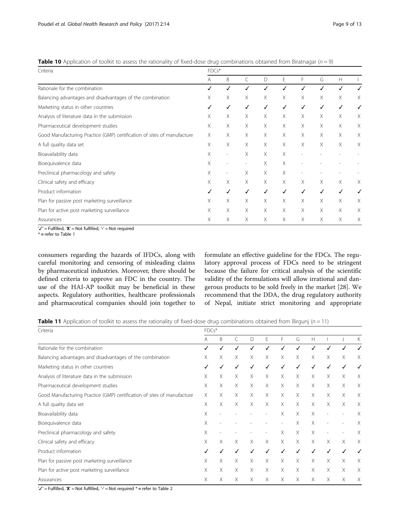<span id="page-8-0"></span>

|  |  | Table 10 Application of toolkit to assess the rationality of fixed-dose drug combinations obtained from Biratnagar ( $n = 9$ ) |  |  |
|--|--|--------------------------------------------------------------------------------------------------------------------------------|--|--|

| Criteria                                                                                                         | FDCs* |                          |                          |          |              |   |   |          |   |  |
|------------------------------------------------------------------------------------------------------------------|-------|--------------------------|--------------------------|----------|--------------|---|---|----------|---|--|
|                                                                                                                  | A     | B                        | C                        | D        | E            | F | G | H        |   |  |
| Rationale for the combination                                                                                    | ✓     | √                        | ✓                        | ✓        | ✓            | ✓ | ✓ | √        |   |  |
| Balancing advantages and disadvantages of the combination                                                        | Χ     | Χ                        | $\times$                 | X        | X            | X | X | $\times$ | Χ |  |
| Marketing status in other countries                                                                              | ✓     | √                        | ✓                        | √        | $\checkmark$ | ✓ | √ | √        |   |  |
| Analysis of literature data in the submission                                                                    | Χ     | Χ                        | X                        | X        | $\times$     | X | X | $\times$ | Χ |  |
| Pharmaceutical development studies                                                                               | Χ     | Χ                        | $\times$                 | Χ        | X            | X | X | X        | X |  |
| Good Manufacturing Practice (GMP) certification of sites of manufacture                                          | X     | Χ                        | X                        | $\times$ | $\times$     | X | X | $\times$ | X |  |
| A full quality data set                                                                                          | Χ     | X                        | $\times$                 | X        | $\times$     | X | X | $\times$ | Χ |  |
| Bioavailability data                                                                                             | X     | $\overline{\phantom{a}}$ | $\times$                 | X        | $\times$     |   |   |          |   |  |
| Bioequivalence data                                                                                              | X     |                          | $\overline{\phantom{a}}$ | X        | X            |   |   |          |   |  |
| Preclinical pharmacology and safety                                                                              | X     | $\sim$                   | $\times$                 | X        | X            |   |   |          |   |  |
| Clinical safety and efficacy                                                                                     | Χ     | Χ                        | Χ                        | Χ        | X            | X | X | X        | Χ |  |
| Product information                                                                                              | √     | √                        | ✓                        | √        | √            | ✓ | ✓ | ✓        |   |  |
| Plan for passive post marketing surveillance                                                                     | Χ     | Χ                        | X                        | $\times$ | $\times$     | X | X | $\times$ | X |  |
| Plan for active post marketing surveillance                                                                      | Χ     | Χ                        | $\times$                 | X        | $\times$     | X | X | $\times$ | Χ |  |
| Assurances                                                                                                       | Χ     | X                        | Χ                        | X        | X            | Χ | X | Χ        | Χ |  |
| $\alpha$ and $\alpha$ and $\alpha$ are the set of $\alpha$ and $\alpha$ are the set of $\alpha$<br>$\sim$ $\sim$ |       |                          |                          |          |              |   |   |          |   |  |

 $'\mathcal{J}'$  = Fulfilled,  $'\mathbf{X}'$  = Not fulfilled,  $'\mathcal{I}'$  = Not required

 $*$  = refer to Table [1](#page-3-0)

consumers regarding the hazards of IFDCs, along with careful monitoring and censoring of misleading claims by pharmaceutical industries. Moreover, there should be defined criteria to approve an FDC in the country. The use of the HAI-AP toolkit may be beneficial in these aspects. Regulatory authorities, healthcare professionals and pharmaceutical companies should join together to formulate an effective guideline for the FDCs. The regulatory approval process of FDCs need to be stringent because the failure for critical analysis of the scientific validity of the formulations will allow irrational and dangerous products to be sold freely in the market [[28\]](#page-12-0). We recommend that the DDA, the drug regulatory authority of Nepal, initiate strict monitoring and appropriate

**Table 11** Application of toolkit to assess the rationality of fixed-dose drug combinations obtained from Birgunj ( $n = 11$ )

| Criteria                                                                | FDCs*        |   |          |   |    |                |              |          |   |                          |   |
|-------------------------------------------------------------------------|--------------|---|----------|---|----|----------------|--------------|----------|---|--------------------------|---|
|                                                                         | A            | B | C        | D | E  | F              | G            | H        |   |                          | K |
| Rationale for the combination                                           | ✓            | √ | ✓        | ✓ |    | √              | $\checkmark$ | ✓        |   |                          |   |
| Balancing advantages and disadvantages of the combination               | Χ            | X | X        | X | Χ  | X              | X            | X        | X | X                        | X |
| Marketing status in other countries                                     | $\checkmark$ | ✓ | ✓        | √ | ✓  | √              | $\checkmark$ | √        | √ | √                        |   |
| Analysis of literature data in the submission                           | X            | X | X        | X | Χ  | X              | X            | X        | Χ | X                        | Χ |
| Pharmaceutical development studies                                      | X            | X | X        | X | Χ  | X              | X            | X        | X | X                        | Χ |
| Good Manufacturing Practice (GMP) certification of sites of manufacture | X            | X | $\times$ | X | X. | $\times$       | $\times$     | $\times$ | X | $\times$                 | Χ |
| A full quality data set                                                 | X            | X | X        | X | X  | X              | X            | X        | Χ | X                        | Χ |
| Bioavailability data                                                    | X            |   |          |   |    | X              | X            | X        |   |                          | Χ |
| Bioequivalence data                                                     | X            |   |          |   |    | $\overline{a}$ | X            | X        |   | $\overline{\phantom{a}}$ | Χ |
| Preclinical pharmacology and safety                                     | X            |   |          |   |    | X              | X            | $\times$ |   |                          | Χ |
| Clinical safety and efficacy                                            | X            | X | X        | X | X. | X              | X            | $\times$ | X | X                        | X |
| Product information                                                     |              | ✓ | ✓        | ✓ | ✓  | ✓              | √            | √        | ✓ | √                        |   |
| Plan for passive post marketing surveillance                            | X            | X | X        | X | Χ  | X              | X            | X        | X | X                        | Χ |
| Plan for active post marketing surveillance                             | X            | X | X        | X | Χ  | X              | X            | X        | Χ | X                        | Χ |
| Assurances                                                              | X            | X | X        | Х | X. | X              | Χ            | X        | X | X                        | Χ |

 $'\checkmark$  = Fulfilled, 'X' = Not fulfilled, '-' = Not required \* = refer to Table [2](#page-3-0)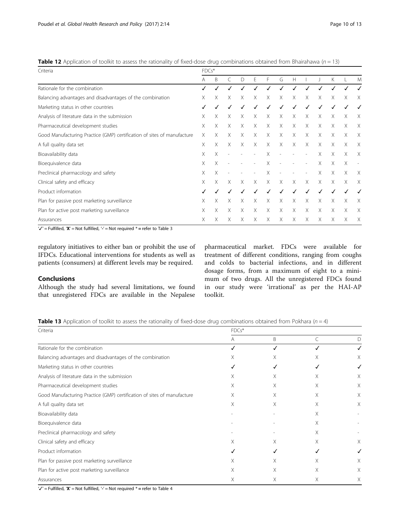<span id="page-9-0"></span>**Table 12** Application of toolkit to assess the rationality of fixed-dose drug combinations obtained from Bhairahawa ( $n = 13$ )

| FDCs* |              |   |          |              |              |          |          |   |   |    |   |          |
|-------|--------------|---|----------|--------------|--------------|----------|----------|---|---|----|---|----------|
| A     | B            | C | D        | E            | F            | G        | Н        |   |   | Κ  |   | M        |
| ✓     | $\checkmark$ |   |          |              |              |          |          |   |   |    |   |          |
| Χ     | Χ            | X | Χ        | X            | Χ            | Χ        | Χ        | X | Χ | Χ  | Χ | X        |
| ✓     | √            | ✓ | ✓        | $\checkmark$ | $\checkmark$ | ✓        | ✓        | √ | ✓ | √  |   |          |
| Χ     | Χ            | X | X        | X            | X            | X        | X        | X | X | X  | X | Χ        |
| X     | $\times$     | X | $\times$ | X            | X            | $\times$ | $\times$ | X | X | X  | X | X        |
| Χ     | X            | X | Χ        | X            | X            | X        | X        | X | X | X  | X | Χ        |
| X     | X            | X | X        | X            | X            | X        | X        | X | X | X  | Χ | X        |
| Χ     | X            |   |          |              | Χ            |          |          |   | Χ | Χ  | X | Χ        |
| X     | X            |   |          |              | X            |          |          |   | X | X  | X |          |
| X     | X            |   |          |              | X            |          |          |   | X | X. | Χ | Χ        |
| X     | X            | X | X        | X            | $\times$     | X        | X        | X | X | X  | Χ | $\times$ |
| ✓     | √            | √ |          | $\checkmark$ | $\checkmark$ | ✓        |          | ✓ |   |    |   |          |
| Χ     | X            | X | X        | X            | X            | X        | X.       | Χ | X | Χ  | X | X        |
| X     | X            | X | X        | $\times$     | $\times$     | X        | X        | X | X | X. | Χ | X        |
| Χ     | Χ            | X | Х        | Х            | Х            | Χ        | Х        | Χ | X | Χ  | Χ | Χ        |
|       |              |   |          |              |              |          |          |   |   |    |   |          |

 $'\checkmark$  = Fulfilled, 'X' = Not fulfilled, '-' = Not required \* = refer to Table [3](#page-4-0)

regulatory initiatives to either ban or prohibit the use of IFDCs. Educational interventions for students as well as patients (consumers) at different levels may be required.

### Conclusions

Although the study had several limitations, we found that unregistered FDCs are available in the Nepalese

pharmaceutical market. FDCs were available for treatment of different conditions, ranging from coughs and colds to bacterial infections, and in different dosage forms, from a maximum of eight to a minimum of two drugs. All the unregistered FDCs found in our study were 'irrational' as per the HAI-AP toolkit.

**Table 13** Application of toolkit to assess the rationality of fixed-dose drug combinations obtained from Pokhara ( $n = 4$ )

| Criteria                                                                | FDCs* |   |   |   |  |  |
|-------------------------------------------------------------------------|-------|---|---|---|--|--|
|                                                                         | A     | B | C | D |  |  |
| Rationale for the combination                                           | ✓     | √ |   | ✓ |  |  |
| Balancing advantages and disadvantages of the combination               | X     | Χ | X | Χ |  |  |
| Marketing status in other countries                                     |       |   |   |   |  |  |
| Analysis of literature data in the submission                           | Χ     | X | Χ | X |  |  |
| Pharmaceutical development studies                                      | Х     | Χ | Х | Χ |  |  |
| Good Manufacturing Practice (GMP) certification of sites of manufacture | Χ     | Χ | Χ | Χ |  |  |
| A full quality data set                                                 | Χ     | Χ | Χ | X |  |  |
| Bioavailability data                                                    |       |   | Χ |   |  |  |
| Bioequivalence data                                                     |       |   | Χ |   |  |  |
| Preclinical pharmacology and safety                                     |       |   | Χ |   |  |  |
| Clinical safety and efficacy                                            | Χ     | X | Χ | X |  |  |
| Product information                                                     |       |   |   |   |  |  |
| Plan for passive post marketing surveillance                            | Χ     | X | Χ | X |  |  |
| Plan for active post marketing surveillance                             | Χ     | X | Χ | X |  |  |
| Assurances                                                              | Χ     | X | X | X |  |  |

 $'$ V' = Fulfilled, 'X' = Not fulfilled, '-' = Not required  $*$  = refer to Table [4](#page-4-0)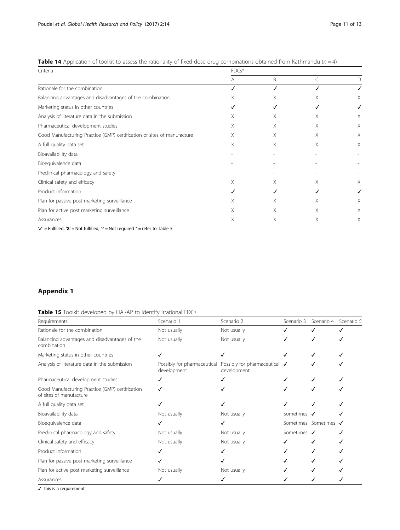<span id="page-10-0"></span>

|  |  |  |  |  | <b>Table 14</b> Application of toolkit to assess the rationality of fixed-dose drug combinations obtained from Kathmandu ( $n = 4$ ) |  |
|--|--|--|--|--|--------------------------------------------------------------------------------------------------------------------------------------|--|

| Criteria                                                                | FDCs* |   |   |   |  |  |  |
|-------------------------------------------------------------------------|-------|---|---|---|--|--|--|
|                                                                         | Α     | B | C | D |  |  |  |
| Rationale for the combination                                           | ✓     | √ | √ |   |  |  |  |
| Balancing advantages and disadvantages of the combination               | Χ     | X | X | Χ |  |  |  |
| Marketing status in other countries                                     |       |   |   |   |  |  |  |
| Analysis of literature data in the submission                           | X     | X | X | Χ |  |  |  |
| Pharmaceutical development studies                                      | Χ     | Χ | X | Χ |  |  |  |
| Good Manufacturing Practice (GMP) certification of sites of manufacture | Χ     | Χ | X | X |  |  |  |
| A full quality data set                                                 | Χ     | X | X | Χ |  |  |  |
| Bioavailability data                                                    |       |   |   |   |  |  |  |
| Bioequivalence data                                                     |       |   |   |   |  |  |  |
| Preclinical pharmacology and safety                                     |       |   |   |   |  |  |  |
| Clinical safety and efficacy                                            | Χ     | Χ | X | X |  |  |  |
| Product information                                                     |       |   |   |   |  |  |  |
| Plan for passive post marketing surveillance                            | Χ     | X | X | X |  |  |  |
| Plan for active post marketing surveillance                             | Χ     | Χ | X | Χ |  |  |  |
| Assurances                                                              | Χ     | X | X | Χ |  |  |  |

 $\sqrt{a'}$  = Fulfilled, 'X' = Not fulfilled, '-' = Not required \* = refer to Table [5](#page-5-0)

# Appendix 1

# Table 15 Toolkit developed by HAI-AP to identify irrational FDCs

| Requirements                                                               | Scenario 1                                 | Scenario 2                                              | Scenario 3             | Scenario 4          | Scenario 5 |
|----------------------------------------------------------------------------|--------------------------------------------|---------------------------------------------------------|------------------------|---------------------|------------|
| Rationale for the combination                                              | Not usually                                | Not usually                                             |                        |                     |            |
| Balancing advantages and disadvantages of the<br>combination               | Not usually                                | Not usually                                             |                        |                     |            |
| Marketing status in other countries                                        |                                            |                                                         |                        |                     |            |
| Analysis of literature data in the submission                              | Possibly for pharmaceutical<br>development | Possibly for pharmaceutical $\checkmark$<br>development |                        |                     |            |
| Pharmaceutical development studies                                         |                                            |                                                         |                        |                     |            |
| Good Manufacturing Practice (GMP) certification<br>of sites of manufacture |                                            |                                                         |                        |                     |            |
| A full quality data set                                                    |                                            |                                                         |                        |                     |            |
| Bioavailability data                                                       | Not usually                                | Not usually                                             | Sometimes              |                     |            |
| Bioequivalence data                                                        |                                            |                                                         |                        | Sometimes Sometimes |            |
| Preclinical pharmacology and safety                                        | Not usually                                | Not usually                                             | Sometimes $\checkmark$ |                     |            |
| Clinical safety and efficacy                                               | Not usually                                | Not usually                                             |                        |                     |            |
| Product information                                                        |                                            |                                                         |                        |                     |            |
| Plan for passive post marketing surveillance                               |                                            |                                                         |                        |                     |            |
| Plan for active post marketing surveillance                                | Not usually                                | Not usually                                             |                        |                     |            |
| Assurances                                                                 |                                            |                                                         |                        |                     |            |

 $\sqrt{\ }$  This is a requirement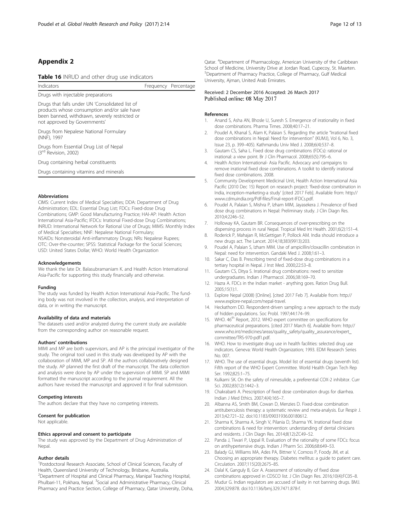# <span id="page-11-0"></span>Appendix 2

#### Table 16 INRUD and other drug use indicators

| Indicators                                                                                                                                                                       | Frequency Percentage |
|----------------------------------------------------------------------------------------------------------------------------------------------------------------------------------|----------------------|
| Drugs with injectable preparations                                                                                                                                               |                      |
| Drugs that falls under UN 'Consolidated list of<br>products whose consumption and/or sale have<br>been banned, withdrawn, severely restricted or<br>not approved by Governments' |                      |

Drugs from Nepalese National Formulary (NNF), 1997

Drugs from Essential Drug List of Nepal (3rd Revision, 2002)

Drug containing herbal constituents

Drugs containing vitamins and minerals

#### Abbreviations

CIMS: Current Index of Medical Specialties; DDA: Department of Drug Administration; EDL: Essential Drug List; FDCs: Fixed-dose Drug Combinations; GMP: Good Manufacturing Practice; HAI-AP: Health Action International Asia-Pacific; IFDCs: Irrational Fixed-dose Drug Combinations; INRUD: International Network for Rational Use of Drugs; MIMS: Monthly Index of Medical Specialties; NNF: Nepalese National Formulary; NSAIDs: Nonsteroidal Anti-inflammatory Drugs; NRs: Nepalese Rupees; OTC: Over-the-counter; SPSS: Statistical Package for the Social Sciences; USD: United States Dollar; WHO: World Health Organization

#### Acknowledgements

We thank the late Dr. Balasubramaniam K. and Health Action International Asia-Pacific for supporting this study financially and otherwise.

#### Funding

The study was funded by Health Action International Asia-Pacific. The funding body was not involved in the collection, analysis, and interpretation of data, or in writing the manuscript.

#### Availability of data and materials

The datasets used and/or analyzed during the current study are available from the corresponding author on reasonable request.

#### Authors' contributions

MIMI and MP are both supervisors, and AP is the principal investigator of the study. The original tool used in this study was developed by AP with the collaboration of MIMI, MP and SP. All the authors collaboratively designed the study. AP planned the first draft of the manuscript. The data collection and analysis were done by AP under the supervision of MIMI. SP and MIMI formatted the manuscript according to the journal requirement. All the authors have revised the manuscript and approved it for final submission.

#### Competing interests

The authors declare that they have no competing interests.

#### Consent for publication

Not applicable.

#### Ethics approval and consent to participate

The study was approved by the Department of Drug Administration of Nepal.

#### Author details

<sup>1</sup>Postdoctoral Research Associate, School of Clinical Sciences, Faculty of Health, Queensland University of Technology, Brisbane, Australia. <sup>2</sup>Department of Hospital and Clinical Pharmacy, Manipal Teaching Hospital, Phulbari-11, Pokhara, Nepal. <sup>3</sup>Social and Administrative Pharmacy, Clinical Pharmacy and Practice Section, College of Pharmacy, Qatar University, Doha, Qatar. <sup>4</sup>Department of Pharmacology, American University of the Caribbean School of Medicine, University Drive at Jordan Road, Cupecoy, St. Maarten. <sup>5</sup>Department of Pharmacy Practice, College of Pharmacy, Gulf Medical University, Ajman, United Arab Emirates.

#### Received: 2 December 2016 Accepted: 26 March 2017 Published online: 08 May 2017

#### References

- 1. Anand S, Asha AN, Bhosle U, Suresh S. Emergence of irrationality in fixed dose combinations. Pharma Times. 2008;40:17–21.
- 2. Poudel A, Khanal S, Alam K, Palaian S. Regarding the article "Irrational fixed dose combinations in Nepal: Need for intervention" (KUMJ), Vol 6, No. 3, Issue 23, p. 399–405). Kathmandu Univ Med J. 2008;6(4):537–8.
- 3. Gautam CS, Saha L. Fixed dose drug combinations (FDCs): rational or irrational: a view point. Br J Clin Pharmacol. 2008;65(5):795–6.
- 4. Health Action International- Asia Pacific. Advocacy and campaigns to remove irrational fixed dose combinations. A toolkit to identify irrational fixed dose combinations. 2008.
- 5. Community Development Medicinal Unit, Health Action International Asia Pacific (2010 Dec 15) Report on research project: 'fixed-dose combination in India, inception-marketing-a study' [cited 2017 Feb]. Available from: http:// www.cdmuindia.org/Pdf-files/Final-report-IFDCs.pdf.
- 6. Poudel A, Palaian S, Mishra P, Izham MIM, Jayasekera J. Prevalence of fixed dose drug combinations in Nepal: Preliminary study. J Clin Diagn Res. 2010;4:2246–52.
- 7. Holloway KA, Gautam BR. Consequences of over-prescribing on the dispensing process in rural Nepal. Tropical Med Int Health. 2001;6(2):151–4.
- 8. Roderick P, Mahajan R, McGettigan P, Pollock AM. India should introduce a new drugs act. The Lancet. 2014;18;383(9913):203.
- 9. Poudel A, Palaian S, Izham MIM. Use of ampicillin/cloxacillin combination in Nepal: need for intervention. Gandaki Med J. 2008;1:61–3.
- 10. Sakar C, Das B. Prescribing trend of fixed-dose drug combinations in a tertiary hospital in Nepal. J Inst Med. 2000;22:53–8.
- 11. Gautam CS, Ditya S. Irrational drug combinations: need to sensitize undergraduates. Indian J Pharmacol. 2006;38:169–70.
- 12. Hazra A. FDCs in the Indian market anything goes. Ration Drug Bull. 2005;15(1):1.
- 13. Explore Nepal (2008) [Online]. [cited 2017 Feb 7]. Available from: [http://](http://www.explore-nepal.com/nepal-travel) [www.explore-nepal.com/nepal-travel.](http://www.explore-nepal.com/nepal-travel)
- 14. Heckathorn DD. Respondent-driven sampling: a new approach to the study of hidden populations. Soc Probl. 1997;44:174–99.
- 15. WHO. 46<sup>th</sup> Report, 2012. WHO expert committee on specifications for pharmaceutical preparations. [cited 2017 March 6]. Available from: [http://](http://www.who.int/medicines/areas/quality_safety/quality_assurance/expert_committee/TRS-970-pdf1.pdf) [www.who.int/medicines/areas/quality\\_safety/quality\\_assurance/expert\\_](http://www.who.int/medicines/areas/quality_safety/quality_assurance/expert_committee/TRS-970-pdf1.pdf) [committee/TRS-970-pdf1.pdf](http://www.who.int/medicines/areas/quality_safety/quality_assurance/expert_committee/TRS-970-pdf1.pdf).
- 16. WHO. How to investigate drug use in health facilities: selected drug use indicators. Geneva: World Health Organization; 1993. EDM Research Series No. 007.
- 17. WHO. The use of essential drugs. Model list of essential drugs (seventh list). Fifth report of the WHO Expert Committee. World Health Organ Tech Rep Ser. 1992;825:1–75.
- 18. Kulkarni SK. On the safety of nimesulide, a preferential COX-2 inhibitor. Curr Sci. 2002;83(12):1442–3.
- 19. Chakrabarti A. Prescription of fixed dose combination drugs for diarrhea. Indian J Med Ethics. 2007;4(4):165–7.
- 20. Albanna AS, Smith BM, Cowan D, Menzies D. Fixed-dose combination antituberculosis therapy: a systematic review and meta-analysis. Eur Respir J. 2013;42:721–32. doi:[10.1183/09031936.00180612.](http://dx.doi.org/10.1183/09031936.00180612)
- 21. Sharma K, Sharma A, Singh V, Pilania D, Sharma YK. Irrational fixed dose combinations & need for intervention: understanding of dental clinicians and residents. J Clin Diagn Res. 2014;8(12):ZC49–52.
- 22. Panda J, Tiwari P, Uppal R. Evaluation of the rationality of some FDCs: focus on antihypertensive drugs. Indian J Pharm Sci. 2006;68:649–53.
- 23. Balady GJ, Williams MA, Ades PA, Bittner V, Comoss P, Foody JM, et al. Choosing an appropriate therapy. Diabetes mellitus: a guide to patient care. Circulation. 2007;115(20):2675–85.
- 24. Dalal K, Ganguly B, Gor A. Assessment of rationality of fixed dose combinations approved in CDSCO list. J Clin Diagn Res. 2016;10(4):FC05–8.
- 25. Mudur G. Indian regulators are accused of laxity in not banning drugs. BMJ. 2004;329:878. doi:[10.1136/bmj.329.7471.878-f.](http://dx.doi.org/10.1136/bmj.329.7471.878-f)